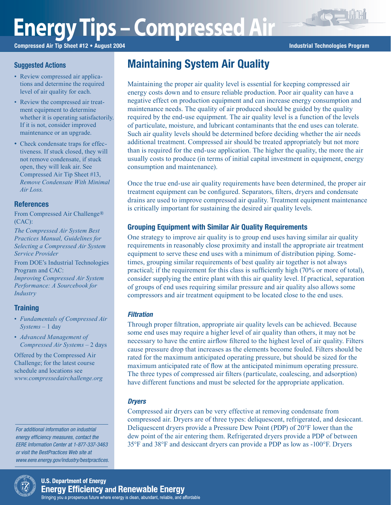# **Energy Tips – Compressed Air**

Compressed Air Tip Sheet #12 • August 2004 **Industrial Technologies Program** Industrial Technologies Program

# Suggested Actions

- Review compressed air applications and determine the required level of air quality for each.
- Review the compressed air treatment equipment to determine whether it is operating satisfactorily. If it is not, consider improved maintenance or an upgrade.
- Check condensate traps for effectiveness. If stuck closed, they will not remove condensate, if stuck open, they will leak air. See Compressed Air Tip Sheet #13, *Remove Condensate With Minimal Air Loss*.

# References

From Compressed Air Challenge® (CAC):

*The Compressed Air System Best Practices Manual, Guidelines for Selecting a Compressed Air System Service Provider*

From DOE's Industrial Technologies Program and CAC: *Improving Compressed Air System Performance: A Sourcebook for Industry*

# **Training**

- *Fundamentals of Compressed Air Systems* – 1 day
- *Advanced Management of Compressed Air Systems* – 2 days

Offered by the Compressed Air Challenge; for the latest course schedule and locations see *www.compressedairchallenge.org*

For additional information on industrial energy efficiency measures, contact the EERE Information Center at 1-877-337-3463 or visit the BestPractices Web site at www.eere.energy.gov/industry/bestpractices.



consumption and maintenance).

Maintaining System Air Quality

Once the true end-use air quality requirements have been determined, the proper air treatment equipment can be configured. Separators, filters, dryers and condensate drains are used to improve compressed air quality. Treatment equipment maintenance is critically important for sustaining the desired air quality levels.

Maintaining the proper air quality level is essential for keeping compressed air energy costs down and to ensure reliable production. Poor air quality can have a negative effect on production equipment and can increase energy consumption and maintenance needs. The quality of air produced should be guided by the quality required by the end-use equipment. The air quality level is a function of the levels of particulate, moisture, and lubricant contaminants that the end uses can tolerate. Such air quality levels should be determined before deciding whether the air needs

# Grouping Equipment with Similar Air Quality Requirements

One strategy to improve air quality is to group end uses having similar air quality requirements in reasonably close proximity and install the appropriate air treatment equipment to serve these end uses with a minimum of distribution piping. Sometimes, grouping similar requirements of best quality air together is not always practical; if the requirement for this class is sufficiently high (70% or more of total), consider supplying the entire plant with this air quality level. If practical, separation of groups of end uses requiring similar pressure and air quality also allows some compressors and air treatment equipment to be located close to the end uses.

#### **Filtration**

Through proper filtration, appropriate air quality levels can be achieved. Because some end uses may require a higher level of air quality than others, it may not be necessary to have the entire airflow filtered to the highest level of air quality. Filters cause pressure drop that increases as the elements become fouled. Filters should be rated for the maximum anticipated operating pressure, but should be sized for the maximum anticipated rate of flow at the anticipated minimum operating pressure. The three types of compressed air filters (particulate, coalescing, and adsorption) have different functions and must be selected for the appropriate application.

#### **Dryers**

Compressed air dryers can be very effective at removing condensate from compressed air. Dryers are of three types: deliquescent, refrigerated, and desiccant. Deliquescent dryers provide a Pressure Dew Point (PDP) of 20°F lower than the dew point of the air entering them. Refrigerated dryers provide a PDP of between 35°F and 38°F and desiccant dryers can provide a PDP as low as -100°F. Dryers